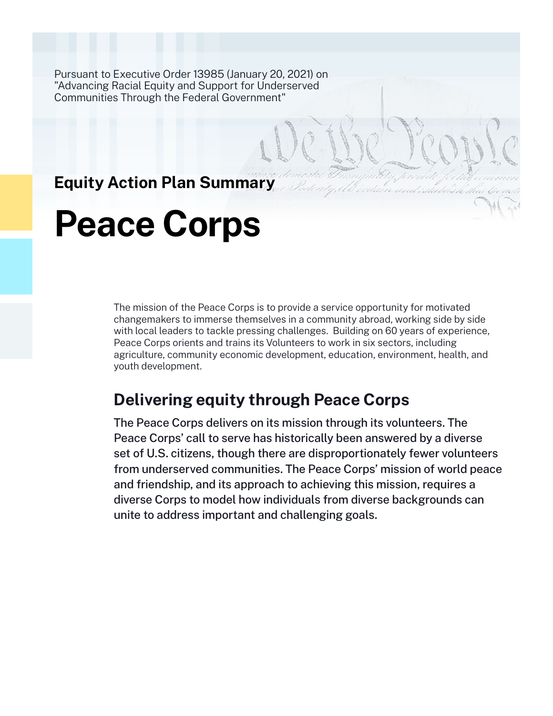Pursuant to Executive Order 13985 (January 20, 2021) on "Advancing Racial Equity and Support for Underserved Communities Through the Federal Government"

# **Equity Action Plan Summary**

# **Peace Corps**

The mission of the Peace Corps is to provide a service opportunity for motivated changemakers to immerse themselves in a community abroad, working side by side with local leaders to tackle pressing challenges. Building on 60 years of experience, Peace Corps orients and trains its Volunteers to work in six sectors, including agriculture, community economic development, education, environment, health, and youth development.

# **Delivering equity through Peace Corps**

The Peace Corps delivers on its mission through its volunteers. The Peace Corps' call to serve has historically been answered by a diverse set of U.S. citizens, though there are disproportionately fewer volunteers from underserved communities. The Peace Corps' mission of world peace and friendship, and its approach to achieving this mission, requires a diverse Corps to model how individuals from diverse backgrounds can unite to address important and challenging goals.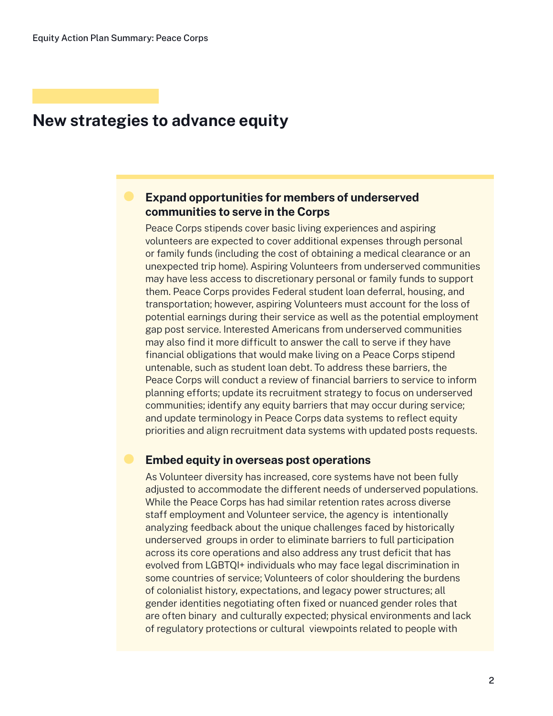## **New strategies to advance equity**

## **Expand opportunities for members of underserved communities to serve in the Corps**

Peace Corps stipends cover basic living experiences and aspiring volunteers are expected to cover additional expenses through personal or family funds (including the cost of obtaining a medical clearance or an unexpected trip home). Aspiring Volunteers from underserved communities may have less access to discretionary personal or family funds to support them. Peace Corps provides Federal student loan deferral, housing, and transportation; however, aspiring Volunteers must account for the loss of potential earnings during their service as well as the potential employment gap post service. Interested Americans from underserved communities may also find it more difficult to answer the call to serve if they have financial obligations that would make living on a Peace Corps stipend untenable, such as student loan debt. To address these barriers, the Peace Corps will conduct a review of financial barriers to service to inform planning efforts; update its recruitment strategy to focus on underserved communities; identify any equity barriers that may occur during service; and update terminology in Peace Corps data systems to reflect equity priorities and align recruitment data systems with updated posts requests.

#### **Embed equity in overseas post operations**

As Volunteer diversity has increased, core systems have not been fully adjusted to accommodate the different needs of underserved populations. While the Peace Corps has had similar retention rates across diverse staff employment and Volunteer service, the agency is intentionally analyzing feedback about the unique challenges faced by historically underserved groups in order to eliminate barriers to full participation across its core operations and also address any trust deficit that has evolved from LGBTQI+ individuals who may face legal discrimination in some countries of service; Volunteers of color shouldering the burdens of colonialist history, expectations, and legacy power structures; all gender identities negotiating often fixed or nuanced gender roles that are often binary and culturally expected; physical environments and lack of regulatory protections or cultural viewpoints related to people with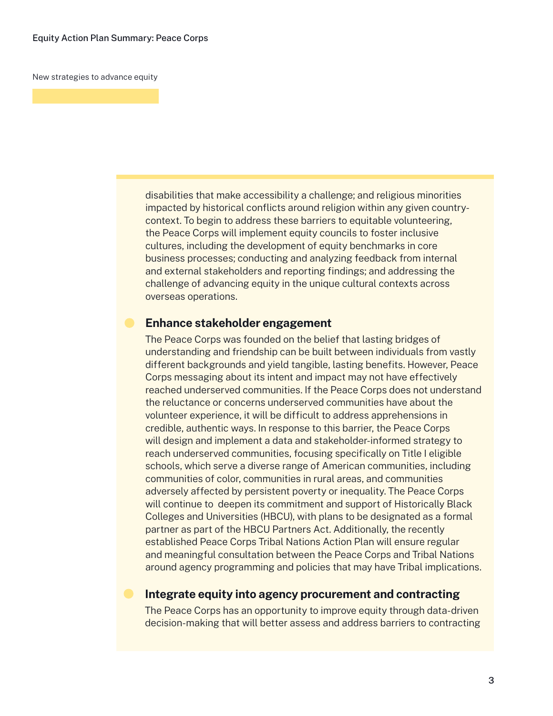New strategies to advance equity

disabilities that make accessibility a challenge; and religious minorities impacted by historical conflicts around religion within any given countrycontext. To begin to address these barriers to equitable volunteering, the Peace Corps will implement equity councils to foster inclusive cultures, including the development of equity benchmarks in core business processes; conducting and analyzing feedback from internal and external stakeholders and reporting findings; and addressing the challenge of advancing equity in the unique cultural contexts across overseas operations.

#### **Enhance stakeholder engagement**

The Peace Corps was founded on the belief that lasting bridges of understanding and friendship can be built between individuals from vastly different backgrounds and yield tangible, lasting benefits. However, Peace Corps messaging about its intent and impact may not have effectively reached underserved communities. If the Peace Corps does not understand the reluctance or concerns underserved communities have about the volunteer experience, it will be difficult to address apprehensions in credible, authentic ways. In response to this barrier, the Peace Corps will design and implement a data and stakeholder-informed strategy to reach underserved communities, focusing specifically on Title I eligible schools, which serve a diverse range of American communities, including communities of color, communities in rural areas, and communities adversely affected by persistent poverty or inequality. The Peace Corps will continue to deepen its commitment and support of Historically Black Colleges and Universities (HBCU), with plans to be designated as a formal partner as part of the HBCU Partners Act. Additionally, the recently established Peace Corps Tribal Nations Action Plan will ensure regular and meaningful consultation between the Peace Corps and Tribal Nations around agency programming and policies that may have Tribal implications.

#### **Integrate equity into agency procurement and contracting**

The Peace Corps has an opportunity to improve equity through data-driven decision-making that will better assess and address barriers to contracting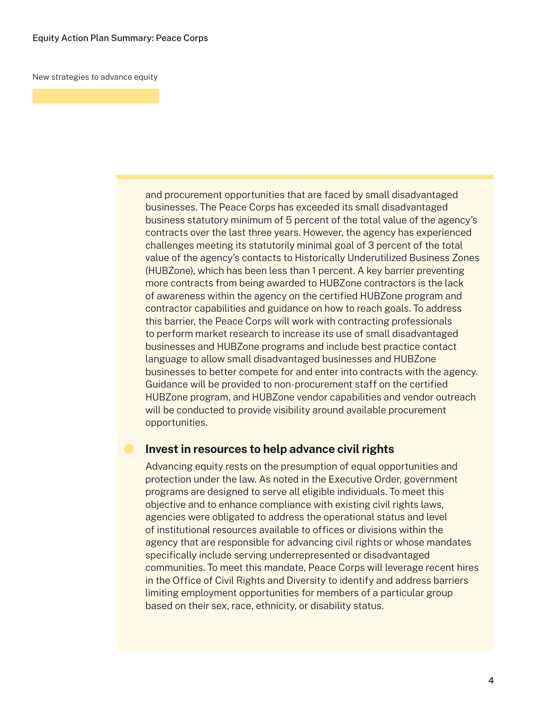New strategies to advance equity

and procurement opportunities that are faced by small disadvantaged businesses. The Peace Corps has exceeded its small disadvantaged business statutory minimum of 5 percent of the total value of the agency's contracts over the last three years. However, the agency has experienced challenges meeting its statutorily minimal goal of 3 percent of the total value of the agency's contacts to Historically Underutilized Business Zones (HUBZone), which has been less than 1 percent. A key barrier preventing more contracts from being awarded to HUBZone contractors is the lack of awareness within the agency on the certified HUBZone program and contractor capabilities and guidance on how to reach goals. To address this barrier, the Peace Corps will work with contracting professionals to perform market research to increase its use of small disadvantaged businesses and HUBZone programs and include best practice contact language to allow small disadvantaged businesses and HUBZone businesses to better compete for and enter into contracts with the agency. Guidance will be provided to non-procurement staff on the certified HUBZone program, and HUBZone vendor capabilities and vendor outreach will be conducted to provide visibility around available procurement opportunities.

### **Invest in resources to help advance civil rights**

Advancing equity rests on the presumption of equal opportunities and protection under the law. As noted in the Executive Order, government programs are designed to serve all eligible individuals. To meet this objective and to enhance compliance with existing civil rights laws, agencies were obligated to address the operational status and level of institutional resources available to offices or divisions within the agency that are responsible for advancing civil rights or whose mandates specifically include serving underrepresented or disadvantaged communities. To meet this mandate, Peace Corps will leverage recent hires in the Office of Civil Rights and Diversity to identify and address barriers limiting employment opportunities for members of a particular group based on their sex, race, ethnicity, or disability status.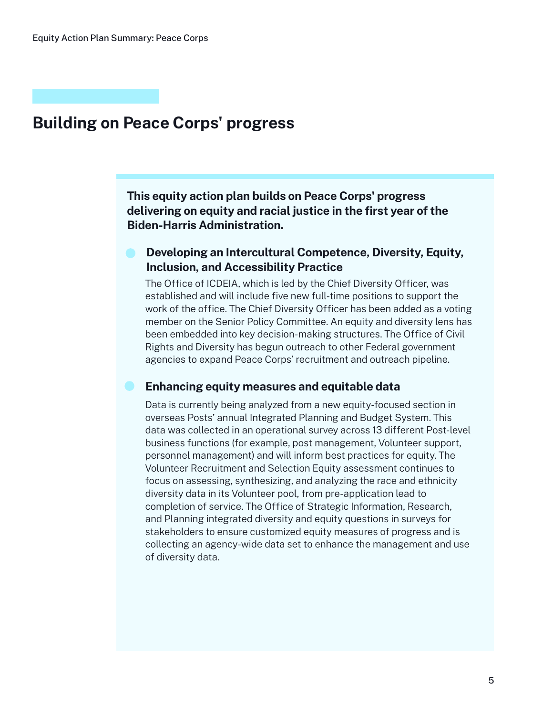# **Building on Peace Corps' progress**

**This equity action plan builds on Peace Corps' progress delivering on equity and racial justice in the first year of the Biden-Harris Administration.**

## **Developing an Intercultural Competence, Diversity, Equity, Inclusion, and Accessibility Practice**

The Office of ICDEIA, which is led by the Chief Diversity Officer, was established and will include five new full-time positions to support the work of the office. The Chief Diversity Officer has been added as a voting member on the Senior Policy Committee. An equity and diversity lens has been embedded into key decision-making structures. The Office of Civil Rights and Diversity has begun outreach to other Federal government agencies to expand Peace Corps' recruitment and outreach pipeline.

#### **Enhancing equity measures and equitable data**

Data is currently being analyzed from a new equity-focused section in overseas Posts' annual Integrated Planning and Budget System. This data was collected in an operational survey across 13 different Post-level business functions (for example, post management, Volunteer support, personnel management) and will inform best practices for equity. The Volunteer Recruitment and Selection Equity assessment continues to focus on assessing, synthesizing, and analyzing the race and ethnicity diversity data in its Volunteer pool, from pre-application lead to completion of service. The Office of Strategic Information, Research, and Planning integrated diversity and equity questions in surveys for stakeholders to ensure customized equity measures of progress and is collecting an agency-wide data set to enhance the management and use of diversity data.